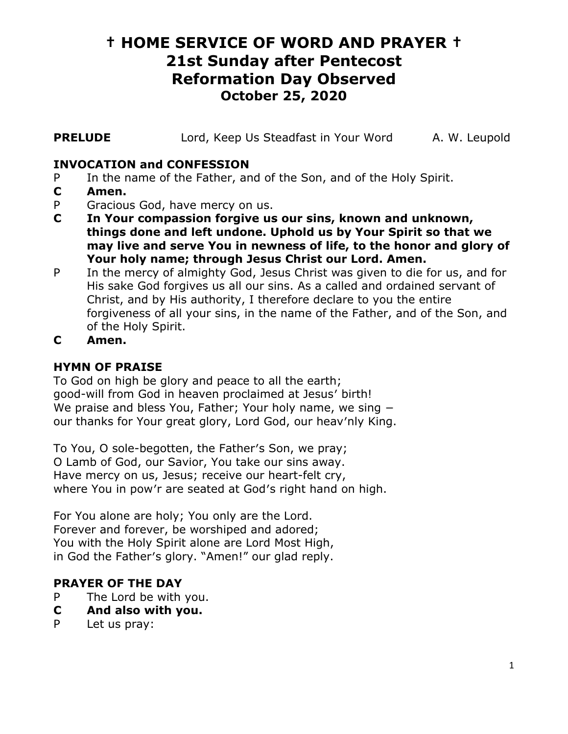# **† HOME SERVICE OF WORD AND PRAYER † 21st Sunday after Pentecost Reformation Day Observed October 25, 2020**

**PRELUDE** Lord, Keep Us Steadfast in Your Word A. W. Leupold

### **INVOCATION and CONFESSION**

- P In the name of the Father, and of the Son, and of the Holy Spirit.
- **C Amen.**
- P Gracious God, have mercy on us.
- **C In Your compassion forgive us our sins, known and unknown, things done and left undone. Uphold us by Your Spirit so that we may live and serve You in newness of life, to the honor and glory of Your holy name; through Jesus Christ our Lord. Amen.**
- P In the mercy of almighty God, Jesus Christ was given to die for us, and for His sake God forgives us all our sins. As a called and ordained servant of Christ, and by His authority, I therefore declare to you the entire forgiveness of all your sins, in the name of the Father, and of the Son, and of the Holy Spirit.
- **C Amen.**

#### **HYMN OF PRAISE**

To God on high be glory and peace to all the earth; good-will from God in heaven proclaimed at Jesus′ birth! We praise and bless You, Father; Your holy name, we sing − our thanks for Your great glory, Lord God, our heav′nly King.

To You, O sole-begotten, the Father′s Son, we pray; O Lamb of God, our Savior, You take our sins away. Have mercy on us, Jesus; receive our heart-felt cry, where You in pow′r are seated at God′s right hand on high.

For You alone are holy; You only are the Lord. Forever and forever, be worshiped and adored; You with the Holy Spirit alone are Lord Most High, in God the Father′s glory. "Amen!" our glad reply.

#### **PRAYER OF THE DAY**

- P The Lord be with you.
- **C And also with you.**
- P Let us pray: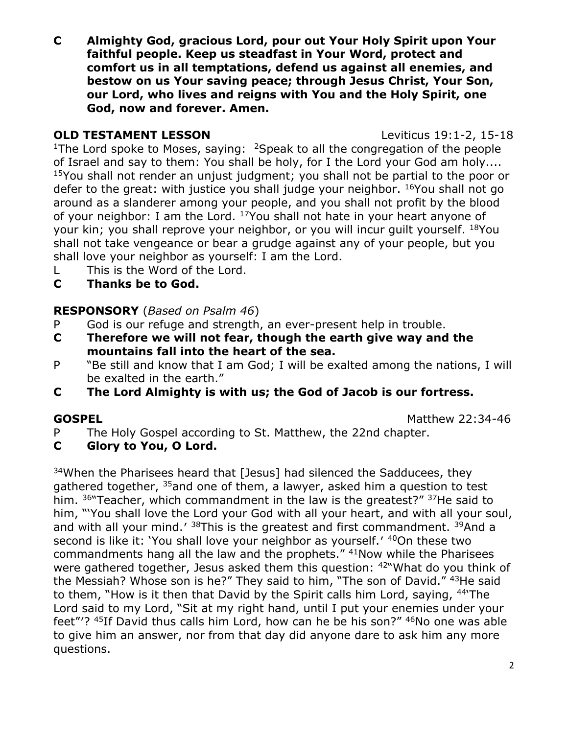**C Almighty God, gracious Lord, pour out Your Holy Spirit upon Your faithful people. Keep us steadfast in Your Word, protect and comfort us in all temptations, defend us against all enemies, and bestow on us Your saving peace; through Jesus Christ, Your Son, our Lord, who lives and reigns with You and the Holy Spirit, one God, now and forever. Amen.**

### **OLD TESTAMENT LESSON** Leviticus 19:1-2, 15-18

<sup>1</sup>The Lord spoke to Moses, saying: <sup>2</sup>Speak to all the congregation of the people of Israel and say to them: You shall be holy, for I the Lord your God am holy.... <sup>15</sup>You shall not render an unjust judgment; you shall not be partial to the poor or defer to the great: with justice you shall judge your neighbor. <sup>16</sup>You shall not go around as a slanderer among your people, and you shall not profit by the blood of your neighbor: I am the Lord. <sup>17</sup> You shall not hate in your heart anyone of your kin; you shall reprove your neighbor, or you will incur guilt yourself. <sup>18</sup>You shall not take vengeance or bear a grudge against any of your people, but you shall love your neighbor as yourself: I am the Lord.

- L This is the Word of the Lord.
- **C Thanks be to God.**

# **RESPONSORY** (*Based on Psalm 46*)

- P God is our refuge and strength, an ever-present help in trouble.
- **C Therefore we will not fear, though the earth give way and the mountains fall into the heart of the sea.**
- P "Be still and know that I am God; I will be exalted among the nations, I will be exalted in the earth."
- **C The Lord Almighty is with us; the God of Jacob is our fortress.**

**GOSPEL** Matthew 22:34-46

- P The Holy Gospel according to St. Matthew, the 22nd chapter.
- **C Glory to You, O Lord.**

<sup>34</sup>When the Pharisees heard that [Jesus] had silenced the Sadducees, they gathered together,  $35$  and one of them, a lawyer, asked him a question to test him. <sup>36"</sup>Teacher, which commandment in the law is the greatest?" <sup>37</sup>He said to him, "'You shall love the Lord your God with all your heart, and with all your soul, and with all your mind.′ <sup>38</sup>This is the greatest and first commandment. <sup>39</sup>And a second is like it: 'You shall love your neighbor as yourself.' 40On these two commandments hang all the law and the prophets." <sup>41</sup>Now while the Pharisees were gathered together, Jesus asked them this question: <sup>42"</sup>What do you think of the Messiah? Whose son is he?" They said to him, "The son of David." <sup>43</sup>He said to them, "How is it then that David by the Spirit calls him Lord, saying, <sup>44</sup>'The Lord said to my Lord, "Sit at my right hand, until I put your enemies under your feet"'? <sup>45</sup>If David thus calls him Lord, how can he be his son?" <sup>46</sup>No one was able to give him an answer, nor from that day did anyone dare to ask him any more questions.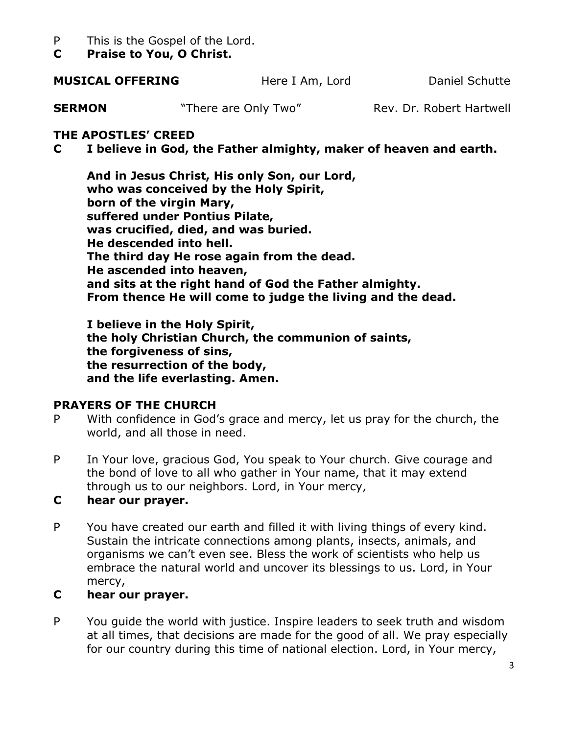- P This is the Gospel of the Lord.
- **C Praise to You, O Christ.**

#### **MUSICAL OFFERING** Here I Am, Lord Daniel Schutte

**SERMON** "There are Only Two" Rev. Dr. Robert Hartwell

### **THE APOSTLES' CREED**

# **C I believe in God, the Father almighty, maker of heaven and earth.**

**And in Jesus Christ, His only Son, our Lord, who was conceived by the Holy Spirit, born of the virgin Mary, suffered under Pontius Pilate, was crucified, died, and was buried. He descended into hell. The third day He rose again from the dead. He ascended into heaven, and sits at the right hand of God the Father almighty. From thence He will come to judge the living and the dead.**

**I believe in the Holy Spirit, the holy Christian Church, the communion of saints, the forgiveness of sins, the resurrection of the body, and the life everlasting. Amen.**

#### **PRAYERS OF THE CHURCH**

- P With confidence in God's grace and mercy, let us pray for the church, the world, and all those in need.
- P In Your love, gracious God, You speak to Your church. Give courage and the bond of love to all who gather in Your name, that it may extend through us to our neighbors. Lord, in Your mercy,

#### **C hear our prayer.**

P You have created our earth and filled it with living things of every kind. Sustain the intricate connections among plants, insects, animals, and organisms we can't even see. Bless the work of scientists who help us embrace the natural world and uncover its blessings to us. Lord, in Your mercy,

#### **C hear our prayer.**

P You guide the world with justice. Inspire leaders to seek truth and wisdom at all times, that decisions are made for the good of all. We pray especially for our country during this time of national election. Lord, in Your mercy,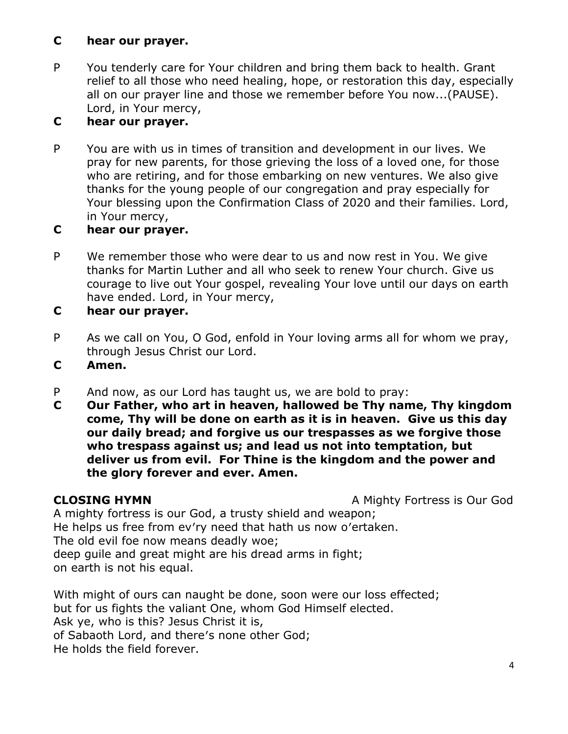### **C hear our prayer.**

P You tenderly care for Your children and bring them back to health. Grant relief to all those who need healing, hope, or restoration this day, especially all on our prayer line and those we remember before You now...(PAUSE). Lord, in Your mercy,

# **C hear our prayer.**

P You are with us in times of transition and development in our lives. We pray for new parents, for those grieving the loss of a loved one, for those who are retiring, and for those embarking on new ventures. We also give thanks for the young people of our congregation and pray especially for Your blessing upon the Confirmation Class of 2020 and their families. Lord, in Your mercy,

# **C hear our prayer.**

- P We remember those who were dear to us and now rest in You. We give thanks for Martin Luther and all who seek to renew Your church. Give us courage to live out Your gospel, revealing Your love until our days on earth have ended. Lord, in Your mercy,
- **C hear our prayer.**
- P As we call on You, O God, enfold in Your loving arms all for whom we pray, through Jesus Christ our Lord.
- **C Amen.**
- P And now, as our Lord has taught us, we are bold to pray:
- **C Our Father, who art in heaven, hallowed be Thy name, Thy kingdom come, Thy will be done on earth as it is in heaven. Give us this day our daily bread; and forgive us our trespasses as we forgive those who trespass against us; and lead us not into temptation, but deliver us from evil. For Thine is the kingdom and the power and the glory forever and ever. Amen.**

**CLOSING HYMN** A Mighty Fortress is Our God

A mighty fortress is our God, a trusty shield and weapon; He helps us free from ev′ry need that hath us now o′ertaken. The old evil foe now means deadly woe; deep guile and great might are his dread arms in fight; on earth is not his equal.

With might of ours can naught be done, soon were our loss effected; but for us fights the valiant One, whom God Himself elected. Ask ye, who is this? Jesus Christ it is, of Sabaoth Lord, and there′s none other God; He holds the field forever.